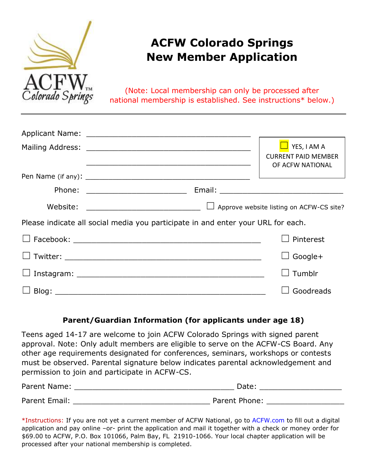

# **ACFW Colorado Springs New Member Application**

(Note: Local membership can only be processed after national membership is established. See instructions\* below.)

|                                                                                  | YES, I AM A<br><b>CURRENT PAID MEMBER</b><br>OF ACFW NATIONAL |
|----------------------------------------------------------------------------------|---------------------------------------------------------------|
|                                                                                  |                                                               |
| Phone: _________________________                                                 |                                                               |
| Website: _________________________________                                       | $\Box$ Approve website listing on ACFW-CS site?               |
| Please indicate all social media you participate in and enter your URL for each. |                                                               |
|                                                                                  | Pinterest                                                     |
|                                                                                  | Google+                                                       |
|                                                                                  | Tumblr                                                        |
|                                                                                  | Goodreads                                                     |

#### **Parent/Guardian Information (for applicants under age 18)**

Teens aged 14-17 are welcome to join ACFW Colorado Springs with signed parent approval. Note: Only adult members are eligible to serve on the ACFW-CS Board. Any other age requirements designated for conferences, seminars, workshops or contests must be observed. Parental signature below indicates parental acknowledgement and permission to join and participate in ACFW-CS.

| Parent Name:  | Date:         |
|---------------|---------------|
| Parent Email: | Parent Phone: |

\*Instructions: If you are not yet a current member of ACFW N[ational,](http://www.acfw.com/) go to ACFW.com to fill out a digital application and pay online –or- print the application and mail it together with a check or money order for \$69.00 to ACFW, P.O. Box 101066, Palm Bay, FL 21910-1066. Your local chapter application will be processed after your national membership is completed.